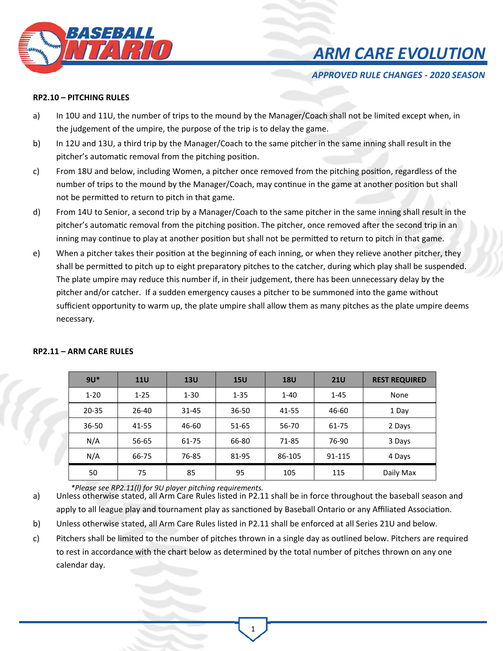

## *ARM CARE EVOLUTION*

*APPROVED RULE CHANGES ‐ 2020 SEASON* 

### **RP2.10 – PITCHING RULES**

- a) In 10U and 11U, the number of trips to the mound by the Manager/Coach shall not be limited except when, in the judgement of the umpire, the purpose of the trip is to delay the game.
- b) In 12U and 13U, a third trip by the Manager/Coach to the same pitcher in the same inning shall result in the pitcher's automatic removal from the pitching position.
- c) From 18U and below, including Women, a pitcher once removed from the pitching position, regardless of the number of trips to the mound by the Manager/Coach, may continue in the game at another position but shall not be permitted to return to pitch in that game.
- d) From 14U to Senior, a second trip by a Manager/Coach to the same pitcher in the same inning shall result in the pitcher's automatic removal from the pitching position. The pitcher, once removed after the second trip in an inning may continue to play at another position but shall not be permitted to return to pitch in that game.
- e) When a pitcher takes their position at the beginning of each inning, or when they relieve another pitcher, they shall be permitted to pitch up to eight preparatory pitches to the catcher, during which play shall be suspended. The plate umpire may reduce this number if, in their judgement, there has been unnecessary delay by the pitcher and/or catcher. If a sudden emergency causes a pitcher to be summoned into the game without sufficient opportunity to warm up, the plate umpire shall allow them as many pitches as the plate umpire deems necessary.

| $9U^*$    | <b>11U</b> | 13U      | <b>15U</b> | <b>18U</b> | <b>21U</b> | <b>REST REQUIRED</b> |
|-----------|------------|----------|------------|------------|------------|----------------------|
| $1 - 20$  | $1 - 25$   | $1 - 30$ | $1 - 35$   | $1 - 40$   | $1 - 45$   | None                 |
| $20 - 35$ | 26-40      | 31-45    | $36 - 50$  | 41-55      | 46-60      | 1 Day                |
| 36-50     | 41-55      | 46-60    | 51-65      | 56-70      | 61-75      | 2 Days               |
| N/A       | 56-65      | 61-75    | 66-80      | 71-85      | 76-90      | 3 Days               |
| N/A       | 66-75      | 76-85    | 81-95      | 86-105     | 91-115     | 4 Days               |
| 50        | 75         | 85       | 95         | 105        | 115        | Daily Max            |

#### **RP2.11 – ARM CARE RULES**

*\*Please see RP2.11(l) for 9U player pitching requirements.* 

a) Unless otherwise stated, all Arm Care Rules listed in P2.11 shall be in force throughout the baseball season and apply to all league play and tournament play as sanctioned by Baseball Ontario or any Affiliated Association.

b) Unless otherwise stated, all Arm Care Rules listed in P2.11 shall be enforced at all Series 21U and below.

c) Pitchers shall be limited to the number of pitches thrown in a single day as outlined below. Pitchers are required to rest in accordance with the chart below as determined by the total number of pitches thrown on any one calendar day.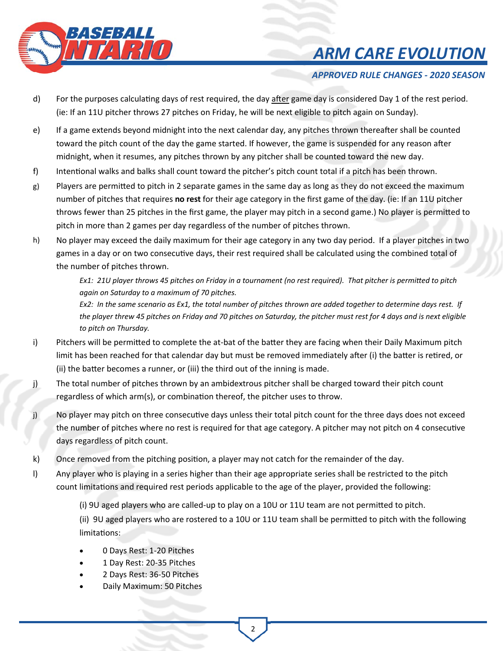

# *ARM CARE EVOLUTION*

## *APPROVED RULE CHANGES ‐ 2020 SEASON*

- d) For the purposes calculating days of rest required, the day after game day is considered Day 1 of the rest period. (ie: If an 11U pitcher throws 27 pitches on Friday, he will be next eligible to pitch again on Sunday).
- e) If a game extends beyond midnight into the next calendar day, any pitches thrown thereafter shall be counted toward the pitch count of the day the game started. If however, the game is suspended for any reason after midnight, when it resumes, any pitches thrown by any pitcher shall be counted toward the new day.
- f) Intentional walks and balks shall count toward the pitcher's pitch count total if a pitch has been thrown.
- g) Players are permitted to pitch in 2 separate games in the same day as long as they do not exceed the maximum number of pitches that requires **no rest** for their age category in the first game of the day. (ie: If an 11U pitcher throws fewer than 25 pitches in the first game, the player may pitch in a second game.) No player is permitted to pitch in more than 2 games per day regardless of the number of pitches thrown.
- h) No player may exceed the daily maximum for their age category in any two day period. If a player pitches in two games in a day or on two consecutive days, their rest required shall be calculated using the combined total of the number of pitches thrown.

*Ex1: 21U player throws 45 pitches on Friday in a tournament (no rest required). That pitcher is permitted to pitch again on Saturday to a maximum of 70 pitches.*

*Ex2: In the same scenario as Ex1, the total number of pitches thrown are added together to determine days rest. If the player threw 45 pitches on Friday and 70 pitches on Saturday, the pitcher must rest for 4 days and is next eligible to pitch on Thursday.*

- i) Pitchers will be permitted to complete the at-bat of the batter they are facing when their Daily Maximum pitch limit has been reached for that calendar day but must be removed immediately after (i) the batter is retired, or (ii) the batter becomes a runner, or (iii) the third out of the inning is made.
- j) The total number of pitches thrown by an ambidextrous pitcher shall be charged toward their pitch count regardless of which arm(s), or combination thereof, the pitcher uses to throw.
- j) No player may pitch on three consecutive days unless their total pitch count for the three days does not exceed the number of pitches where no rest is required for that age category. A pitcher may not pitch on 4 consecutive days regardless of pitch count.
- k) Once removed from the pitching position, a player may not catch for the remainder of the day.
- l) Any player who is playing in a series higher than their age appropriate series shall be restricted to the pitch count limitations and required rest periods applicable to the age of the player, provided the following:
	- (i) 9U aged players who are called-up to play on a 10U or 11U team are not permitted to pitch.

(ii) 9U aged players who are rostered to a 10U or 11U team shall be permitted to pitch with the following limitations:

- 0 Days Rest: 1‐20 Pitches
- 1 Day Rest: 20‐35 Pitches
- 2 Days Rest: 36‐50 Pitches
- Daily Maximum: 50 Pitches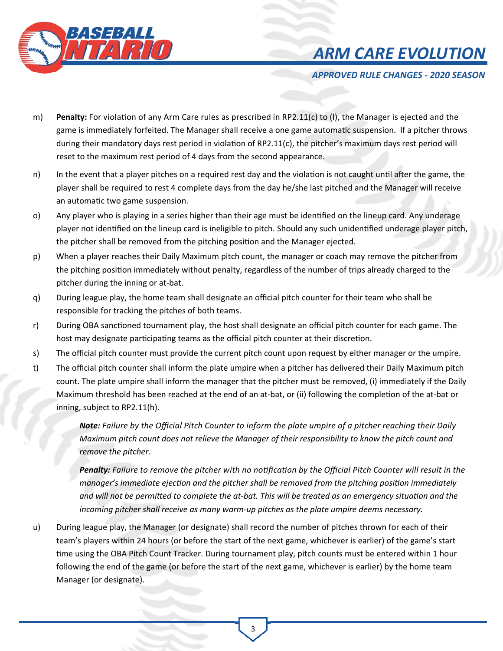



*APPROVED RULE CHANGES ‐ 2020 SEASON* 

- m) Penalty: For violation of any Arm Care rules as prescribed in RP2.11(c) to (I), the Manager is ejected and the game is immediately forfeited. The Manager shall receive a one game automatic suspension. If a pitcher throws during their mandatory days rest period in violation of RP2.11(c), the pitcher's maximum days rest period will reset to the maximum rest period of 4 days from the second appearance.
- n) In the event that a player pitches on a required rest day and the violation is not caught until after the game, the player shall be required to rest 4 complete days from the day he/she last pitched and the Manager will receive an automatic two game suspension.
- o) Any player who is playing in a series higher than their age must be identified on the lineup card. Any underage player not identified on the lineup card is ineligible to pitch. Should any such unidentified underage player pitch, the pitcher shall be removed from the pitching position and the Manager ejected.
- p) When a player reaches their Daily Maximum pitch count, the manager or coach may remove the pitcher from the pitching position immediately without penalty, regardless of the number of trips already charged to the pitcher during the inning or at‐bat.
- q) During league play, the home team shall designate an official pitch counter for their team who shall be responsible for tracking the pitches of both teams.
- r) During OBA sanctioned tournament play, the host shall designate an official pitch counter for each game. The host may designate participating teams as the official pitch counter at their discretion.
- s) The official pitch counter must provide the current pitch count upon request by either manager or the umpire.
- t) The official pitch counter shall inform the plate umpire when a pitcher has delivered their Daily Maximum pitch count. The plate umpire shall inform the manager that the pitcher must be removed, (i) immediately if the Daily Maximum threshold has been reached at the end of an at-bat, or (ii) following the completion of the at-bat or inning, subject to RP2.11(h).

*Note: Failure by the Official Pitch Counter to inform the plate umpire of a pitcher reaching their Daily Maximum pitch count does not relieve the Manager of their responsibility to know the pitch count and remove the pitcher.* 

**Penalty:** Failure to remove the pitcher with no notification by the Official Pitch Counter will result in the *manager's immediate ejection and the pitcher shall be removed from the pitching position immediately* and will not be permitted to complete the at-bat. This will be treated as an emergency situation and the *incoming pitcher shall receive as many warm‐up pitches as the plate umpire deems necessary.* 

u) During league play, the Manager (or designate) shall record the number of pitches thrown for each of their team's players within 24 hours (or before the start of the next game, whichever is earlier) of the game's start time using the OBA Pitch Count Tracker. During tournament play, pitch counts must be entered within 1 hour following the end of the game (or before the start of the next game, whichever is earlier) by the home team Manager (or designate).